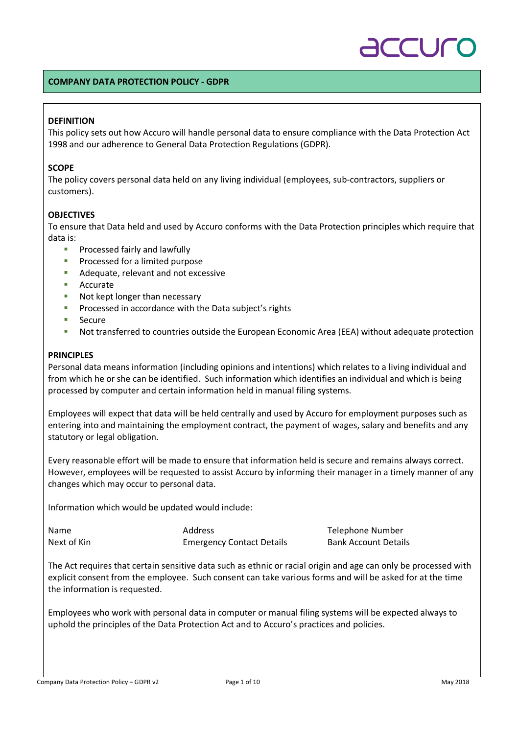# $\overline{\bigcap}$

#### **COMPANY DATA PROTECTION POLICY - GDPR**

#### **DEFINITION**

This policy sets out how Accuro will handle personal data to ensure compliance with the Data Protection Act 1998 and our adherence to General Data Protection Regulations (GDPR).

#### **SCOPE**

The policy covers personal data held on any living individual (employees, sub-contractors, suppliers or customers).

#### **OBJECTIVES**

To ensure that Data held and used by Accuro conforms with the Data Protection principles which require that data is:

- § Processed fairly and lawfully
- Processed for a limited purpose
- Adequate, relevant and not excessive
- Accurate
- Not kept longer than necessary
- Processed in accordance with the Data subject's rights
- Secure
- Not transferred to countries outside the European Economic Area (EEA) without adequate protection

#### **PRINCIPLES**

Personal data means information (including opinions and intentions) which relates to a living individual and from which he or she can be identified. Such information which identifies an individual and which is being processed by computer and certain information held in manual filing systems.

Employees will expect that data will be held centrally and used by Accuro for employment purposes such as entering into and maintaining the employment contract, the payment of wages, salary and benefits and any statutory or legal obligation.

Every reasonable effort will be made to ensure that information held is secure and remains always correct. However, employees will be requested to assist Accuro by informing their manager in a timely manner of any changes which may occur to personal data.

Information which would be updated would include:

Name **Address** Address Telephone Number Next of Kin **Emergency Contact Details** Bank Account Details

The Act requires that certain sensitive data such as ethnic or racial origin and age can only be processed with explicit consent from the employee. Such consent can take various forms and will be asked for at the time the information is requested.

Employees who work with personal data in computer or manual filing systems will be expected always to uphold the principles of the Data Protection Act and to Accuro's practices and policies.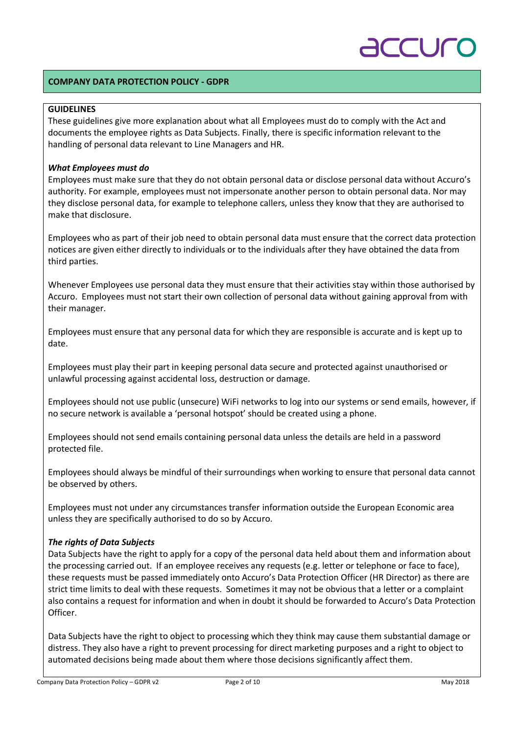# TCUC

#### **COMPANY DATA PROTECTION POLICY - GDPR**

### **GUIDELINES**

These guidelines give more explanation about what all Employees must do to comply with the Act and documents the employee rights as Data Subjects. Finally, there is specific information relevant to the handling of personal data relevant to Line Managers and HR.

#### *What Employees must do*

Employees must make sure that they do not obtain personal data or disclose personal data without Accuro's authority. For example, employees must not impersonate another person to obtain personal data. Nor may they disclose personal data, for example to telephone callers, unless they know that they are authorised to make that disclosure.

Employees who as part of their job need to obtain personal data must ensure that the correct data protection notices are given either directly to individuals or to the individuals after they have obtained the data from third parties.

Whenever Employees use personal data they must ensure that their activities stay within those authorised by Accuro. Employees must not start their own collection of personal data without gaining approval from with their manager.

Employees must ensure that any personal data for which they are responsible is accurate and is kept up to date.

Employees must play their part in keeping personal data secure and protected against unauthorised or unlawful processing against accidental loss, destruction or damage.

Employees should not use public (unsecure) WiFi networks to log into our systems or send emails, however, if no secure network is available a 'personal hotspot' should be created using a phone.

Employees should not send emails containing personal data unless the details are held in a password protected file.

Employees should always be mindful of their surroundings when working to ensure that personal data cannot be observed by others.

Employees must not under any circumstances transfer information outside the European Economic area unless they are specifically authorised to do so by Accuro.

#### *The rights of Data Subjects*

Data Subjects have the right to apply for a copy of the personal data held about them and information about the processing carried out. If an employee receives any requests (e.g. letter or telephone or face to face), these requests must be passed immediately onto Accuro's Data Protection Officer (HR Director) as there are strict time limits to deal with these requests. Sometimes it may not be obvious that a letter or a complaint also contains a request for information and when in doubt it should be forwarded to Accuro's Data Protection Officer.

Data Subjects have the right to object to processing which they think may cause them substantial damage or distress. They also have a right to prevent processing for direct marketing purposes and a right to object to automated decisions being made about them where those decisions significantly affect them.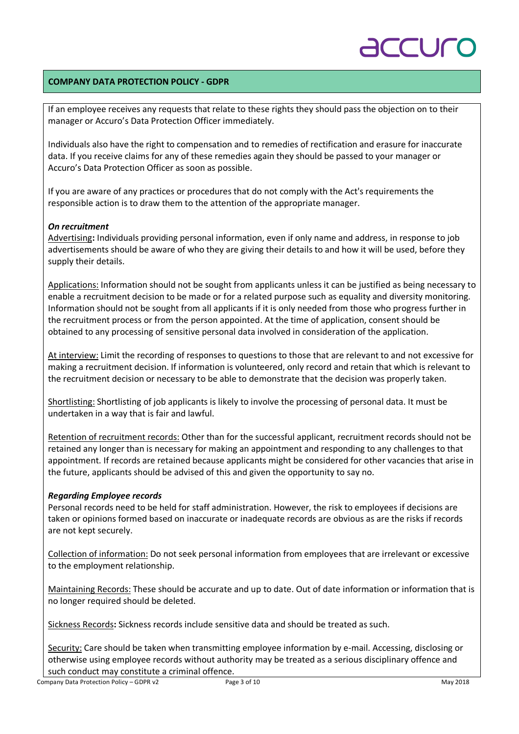# TU

### **COMPANY DATA PROTECTION POLICY - GDPR**

If an employee receives any requests that relate to these rights they should pass the objection on to their manager or Accuro's Data Protection Officer immediately.

Individuals also have the right to compensation and to remedies of rectification and erasure for inaccurate data. If you receive claims for any of these remedies again they should be passed to your manager or Accuro's Data Protection Officer as soon as possible.

If you are aware of any practices or procedures that do not comply with the Act's requirements the responsible action is to draw them to the attention of the appropriate manager.

### *On recruitment*

Advertising**:** Individuals providing personal information, even if only name and address, in response to job advertisements should be aware of who they are giving their details to and how it will be used, before they supply their details.

Applications: Information should not be sought from applicants unless it can be justified as being necessary to enable a recruitment decision to be made or for a related purpose such as equality and diversity monitoring. Information should not be sought from all applicants if it is only needed from those who progress further in the recruitment process or from the person appointed. At the time of application, consent should be obtained to any processing of sensitive personal data involved in consideration of the application.

At interview: Limit the recording of responses to questions to those that are relevant to and not excessive for making a recruitment decision. If information is volunteered, only record and retain that which is relevant to the recruitment decision or necessary to be able to demonstrate that the decision was properly taken.

Shortlisting: Shortlisting of job applicants is likely to involve the processing of personal data. It must be undertaken in a way that is fair and lawful.

Retention of recruitment records: Other than for the successful applicant, recruitment records should not be retained any longer than is necessary for making an appointment and responding to any challenges to that appointment. If records are retained because applicants might be considered for other vacancies that arise in the future, applicants should be advised of this and given the opportunity to say no.

### *Regarding Employee records*

Personal records need to be held for staff administration. However, the risk to employees if decisions are taken or opinions formed based on inaccurate or inadequate records are obvious as are the risks if records are not kept securely.

Collection of information: Do not seek personal information from employees that are irrelevant or excessive to the employment relationship.

Maintaining Records: These should be accurate and up to date. Out of date information or information that is no longer required should be deleted.

Sickness Records**:** Sickness records include sensitive data and should be treated as such.

Security: Care should be taken when transmitting employee information by e-mail. Accessing, disclosing or otherwise using employee records without authority may be treated as a serious disciplinary offence and such conduct may constitute a criminal offence.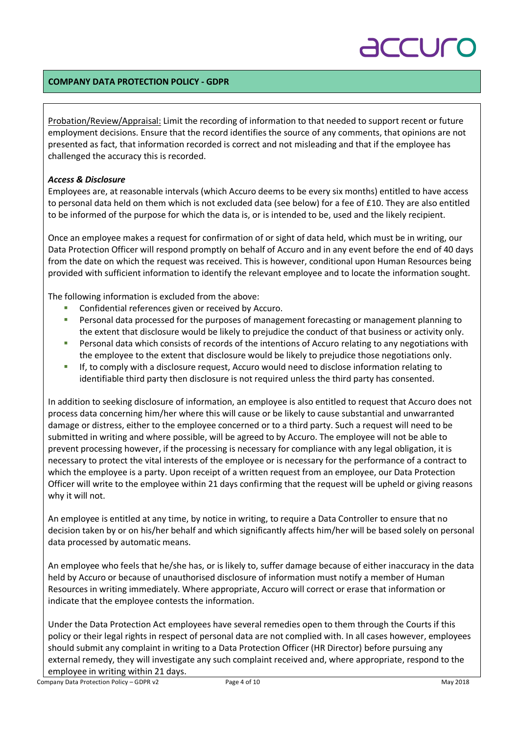# ACCUC

### **COMPANY DATA PROTECTION POLICY - GDPR**

Probation/Review/Appraisal: Limit the recording of information to that needed to support recent or future employment decisions. Ensure that the record identifies the source of any comments, that opinions are not presented as fact, that information recorded is correct and not misleading and that if the employee has challenged the accuracy this is recorded.

### *Access & Disclosure*

Employees are, at reasonable intervals (which Accuro deems to be every six months) entitled to have access to personal data held on them which is not excluded data (see below) for a fee of £10. They are also entitled to be informed of the purpose for which the data is, or is intended to be, used and the likely recipient.

Once an employee makes a request for confirmation of or sight of data held, which must be in writing, our Data Protection Officer will respond promptly on behalf of Accuro and in any event before the end of 40 days from the date on which the request was received. This is however, conditional upon Human Resources being provided with sufficient information to identify the relevant employee and to locate the information sought.

The following information is excluded from the above:

- § Confidential references given or received by Accuro.
- Personal data processed for the purposes of management forecasting or management planning to the extent that disclosure would be likely to prejudice the conduct of that business or activity only.
- **•** Personal data which consists of records of the intentions of Accuro relating to any negotiations with the employee to the extent that disclosure would be likely to prejudice those negotiations only.
- **If, to comply with a disclosure request, Accuro would need to disclose information relating to** identifiable third party then disclosure is not required unless the third party has consented.

In addition to seeking disclosure of information, an employee is also entitled to request that Accuro does not process data concerning him/her where this will cause or be likely to cause substantial and unwarranted damage or distress, either to the employee concerned or to a third party. Such a request will need to be submitted in writing and where possible, will be agreed to by Accuro. The employee will not be able to prevent processing however, if the processing is necessary for compliance with any legal obligation, it is necessary to protect the vital interests of the employee or is necessary for the performance of a contract to which the employee is a party. Upon receipt of a written request from an employee, our Data Protection Officer will write to the employee within 21 days confirming that the request will be upheld or giving reasons why it will not.

An employee is entitled at any time, by notice in writing, to require a Data Controller to ensure that no decision taken by or on his/her behalf and which significantly affects him/her will be based solely on personal data processed by automatic means.

An employee who feels that he/she has, or is likely to, suffer damage because of either inaccuracy in the data held by Accuro or because of unauthorised disclosure of information must notify a member of Human Resources in writing immediately. Where appropriate, Accuro will correct or erase that information or indicate that the employee contests the information.

Under the Data Protection Act employees have several remedies open to them through the Courts if this policy or their legal rights in respect of personal data are not complied with. In all cases however, employees should submit any complaint in writing to a Data Protection Officer (HR Director) before pursuing any external remedy, they will investigate any such complaint received and, where appropriate, respond to the employee in writing within 21 days.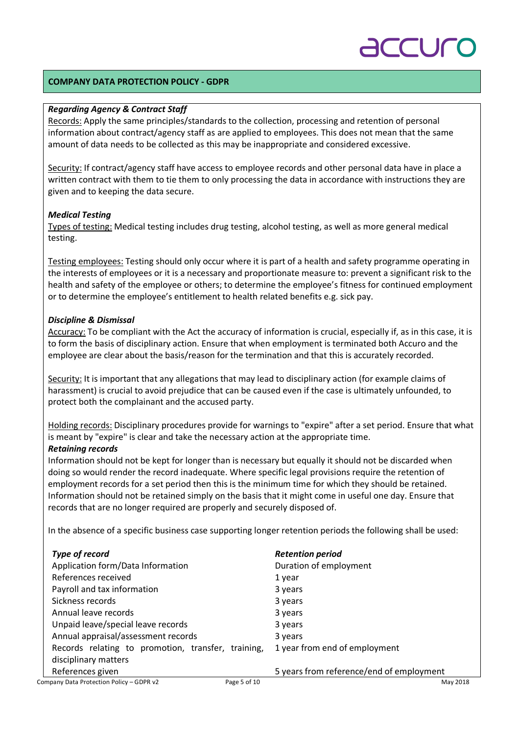# **CU**

### **COMPANY DATA PROTECTION POLICY - GDPR**

#### *Regarding Agency & Contract Staff*

Records: Apply the same principles/standards to the collection, processing and retention of personal information about contract/agency staff as are applied to employees. This does not mean that the same amount of data needs to be collected as this may be inappropriate and considered excessive.

Security: If contract/agency staff have access to employee records and other personal data have in place a written contract with them to tie them to only processing the data in accordance with instructions they are given and to keeping the data secure.

### *Medical Testing*

Types of testing: Medical testing includes drug testing, alcohol testing, as well as more general medical testing.

Testing employees: Testing should only occur where it is part of a health and safety programme operating in the interests of employees or it is a necessary and proportionate measure to: prevent a significant risk to the health and safety of the employee or others; to determine the employee's fitness for continued employment or to determine the employee's entitlement to health related benefits e.g. sick pay.

### *Discipline & Dismissal*

Accuracy: To be compliant with the Act the accuracy of information is crucial, especially if, as in this case, it is to form the basis of disciplinary action. Ensure that when employment is terminated both Accuro and the employee are clear about the basis/reason for the termination and that this is accurately recorded.

Security: It is important that any allegations that may lead to disciplinary action (for example claims of harassment) is crucial to avoid prejudice that can be caused even if the case is ultimately unfounded, to protect both the complainant and the accused party.

Holding records: Disciplinary procedures provide for warnings to "expire" after a set period. Ensure that what is meant by "expire" is clear and take the necessary action at the appropriate time.

#### *Retaining records*

Information should not be kept for longer than is necessary but equally it should not be discarded when doing so would render the record inadequate. Where specific legal provisions require the retention of employment records for a set period then this is the minimum time for which they should be retained. Information should not be retained simply on the basis that it might come in useful one day. Ensure that records that are no longer required are properly and securely disposed of.

In the absence of a specific business case supporting longer retention periods the following shall be used:

| Type of record                                     | <b>Retention period</b>                  |
|----------------------------------------------------|------------------------------------------|
| Application form/Data Information                  | Duration of employment                   |
| References received                                | 1 year                                   |
| Payroll and tax information                        | 3 years                                  |
| Sickness records                                   | 3 years                                  |
| Annual leave records                               | 3 years                                  |
| Unpaid leave/special leave records                 | 3 years                                  |
| Annual appraisal/assessment records                | 3 years                                  |
| Records relating to promotion, transfer, training, | 1 year from end of employment            |
| disciplinary matters                               |                                          |
| References given                                   | 5 years from reference/end of employment |
|                                                    |                                          |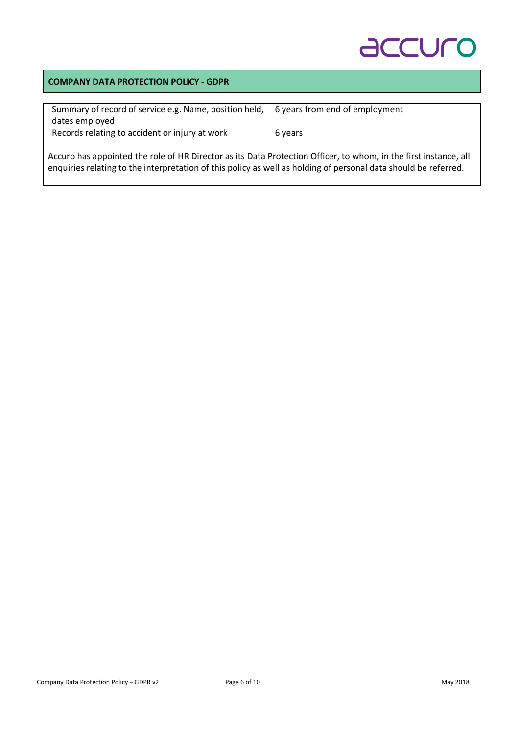# **ACCULO**

### **COMPANY DATA PROTECTION POLICY - GDPR**

| Summary of record of service e.g. Name, position held, | 6 years from end of employment |
|--------------------------------------------------------|--------------------------------|
| dates employed                                         |                                |
| Records relating to accident or injury at work         | 6 years                        |

Accuro has appointed the role of HR Director as its Data Protection Officer, to whom, in the first instance, all enquiries relating to the interpretation of this policy as well as holding of personal data should be referred.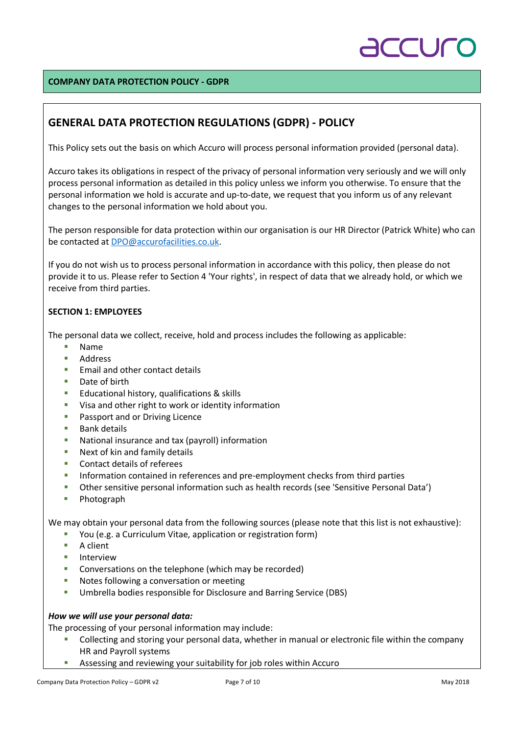

### **COMPANY DATA PROTECTION POLICY - GDPR**

### **GENERAL DATA PROTECTION REGULATIONS (GDPR) - POLICY**

This Policy sets out the basis on which Accuro will process personal information provided (personal data).

Accuro takes its obligations in respect of the privacy of personal information very seriously and we will only process personal information as detailed in this policy unless we inform you otherwise. To ensure that the personal information we hold is accurate and up-to-date, we request that you inform us of any relevant changes to the personal information we hold about you.

The person responsible for data protection within our organisation is our HR Director (Patrick White) who can be contacted at DPO@accurofacilities.co.uk.

If you do not wish us to process personal information in accordance with this policy, then please do not provide it to us. Please refer to Section 4 'Your rights', in respect of data that we already hold, or which we receive from third parties.

### **SECTION 1: EMPLOYEES**

The personal data we collect, receive, hold and process includes the following as applicable:

- § Name
- § Address
- Email and other contact details
- Date of birth
- Educational history, qualifications & skills
- Visa and other right to work or identity information
- Passport and or Driving Licence
- Bank details
- § National insurance and tax (payroll) information
- Next of kin and family details
- Contact details of referees
- **•** Information contained in references and pre-employment checks from third parties
- § Other sensitive personal information such as health records (see 'Sensitive Personal Data')
- Photograph

We may obtain your personal data from the following sources (please note that this list is not exhaustive):

- § You (e.g. a Curriculum Vitae, application or registration form)
- A client
- **E** Interview
- Conversations on the telephone (which may be recorded)
- Notes following a conversation or meeting
- § Umbrella bodies responsible for Disclosure and Barring Service (DBS)

#### *How we will use your personal data:*

The processing of your personal information may include:

- <sup>■</sup> Collecting and storing your personal data, whether in manual or electronic file within the company HR and Payroll systems
- **EXTERGHTM** Assessing and reviewing your suitability for job roles within Accuro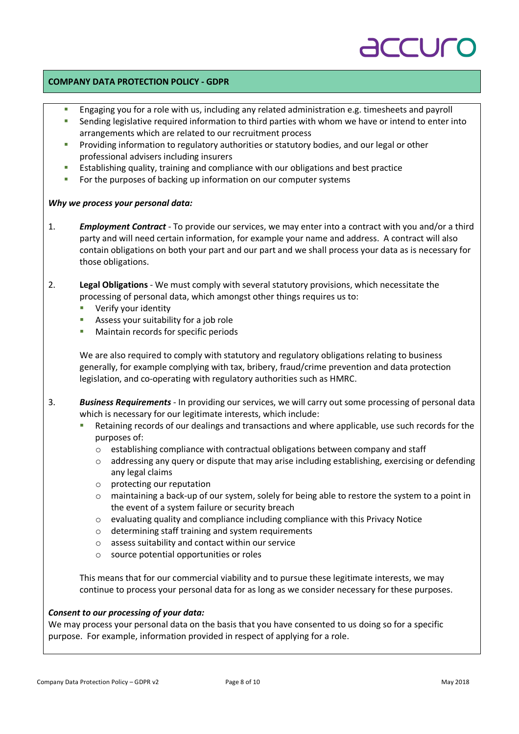# **CU**

### **COMPANY DATA PROTECTION POLICY - GDPR**

- Engaging you for a role with us, including any related administration e.g. timesheets and payroll
- Sending legislative required information to third parties with whom we have or intend to enter into arrangements which are related to our recruitment process
- Providing information to regulatory authorities or statutory bodies, and our legal or other professional advisers including insurers
- **■** Establishing quality, training and compliance with our obligations and best practice
- **•** For the purposes of backing up information on our computer systems

### *Why we process your personal data:*

- 1. *Employment Contract* To provide our services, we may enter into a contract with you and/or a third party and will need certain information, for example your name and address. A contract will also contain obligations on both your part and our part and we shall process your data as is necessary for those obligations.
- 2. **Legal Obligations** We must comply with several statutory provisions, which necessitate the processing of personal data, which amongst other things requires us to:
	- § Verify your identity
	- Assess your suitability for a job role
	- § Maintain records for specific periods

We are also required to comply with statutory and regulatory obligations relating to business generally, for example complying with tax, bribery, fraud/crime prevention and data protection legislation, and co-operating with regulatory authorities such as HMRC.

- 3. *Business Requirements* In providing our services, we will carry out some processing of personal data which is necessary for our legitimate interests, which include:
	- Retaining records of our dealings and transactions and where applicable, use such records for the purposes of:
		- o establishing compliance with contractual obligations between company and staff
		- o addressing any query or dispute that may arise including establishing, exercising or defending any legal claims
		- o protecting our reputation
		- $\circ$  maintaining a back-up of our system, solely for being able to restore the system to a point in the event of a system failure or security breach
		- o evaluating quality and compliance including compliance with this Privacy Notice
		- o determining staff training and system requirements
		- o assess suitability and contact within our service
		- o source potential opportunities or roles

This means that for our commercial viability and to pursue these legitimate interests, we may continue to process your personal data for as long as we consider necessary for these purposes.

### *Consent to our processing of your data:*

We may process your personal data on the basis that you have consented to us doing so for a specific purpose. For example, information provided in respect of applying for a role.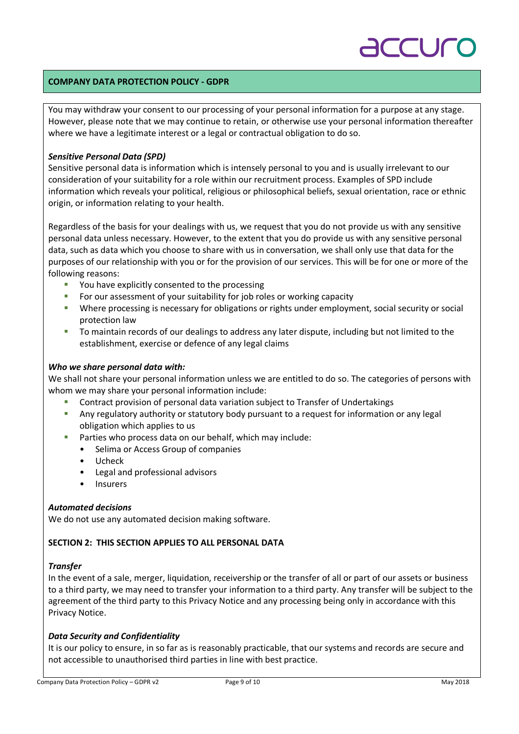# **CUC**

### **COMPANY DATA PROTECTION POLICY - GDPR**

You may withdraw your consent to our processing of your personal information for a purpose at any stage. However, please note that we may continue to retain, or otherwise use your personal information thereafter where we have a legitimate interest or a legal or contractual obligation to do so.

### *Sensitive Personal Data (SPD)*

Sensitive personal data is information which is intensely personal to you and is usually irrelevant to our consideration of your suitability for a role within our recruitment process. Examples of SPD include information which reveals your political, religious or philosophical beliefs, sexual orientation, race or ethnic origin, or information relating to your health.

Regardless of the basis for your dealings with us, we request that you do not provide us with any sensitive personal data unless necessary. However, to the extent that you do provide us with any sensitive personal data, such as data which you choose to share with us in conversation, we shall only use that data for the purposes of our relationship with you or for the provision of our services. This will be for one or more of the following reasons:

- § You have explicitly consented to the processing
- For our assessment of your suitability for job roles or working capacity
- **•** Where processing is necessary for obligations or rights under employment, social security or social protection law
- To maintain records of our dealings to address any later dispute, including but not limited to the establishment, exercise or defence of any legal claims

### *Who we share personal data with:*

We shall not share your personal information unless we are entitled to do so. The categories of persons with whom we may share your personal information include:

- § Contract provision of personal data variation subject to Transfer of Undertakings
- **•** Any regulatory authority or statutory body pursuant to a request for information or any legal obligation which applies to us
- Parties who process data on our behalf, which may include:
	- Selima or Access Group of companies
	- Ucheck
	- Legal and professional advisors
	- Insurers

### *Automated decisions*

We do not use any automated decision making software.

### **SECTION 2: THIS SECTION APPLIES TO ALL PERSONAL DATA**

### *Transfer*

In the event of a sale, merger, liquidation, receivership or the transfer of all or part of our assets or business to a third party, we may need to transfer your information to a third party. Any transfer will be subject to the agreement of the third party to this Privacy Notice and any processing being only in accordance with this Privacy Notice.

### *Data Security and Confidentiality*

It is our policy to ensure, in so far as is reasonably practicable, that our systems and records are secure and not accessible to unauthorised third parties in line with best practice.